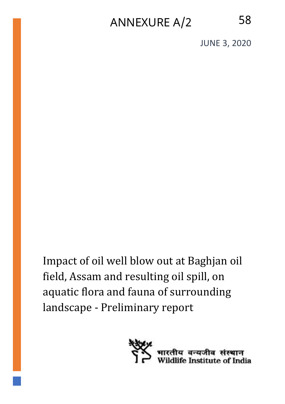# ANNEXURE A/2 58

JUNE 3, 2020

Impact of oil well blow out at Baghjan oil field, Assam and resulting oil spill, on aquatic flora and fauna of surrounding landscape - Preliminary report

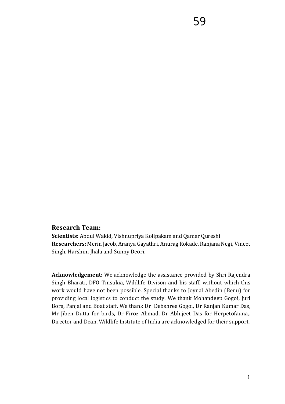#### **Research Team:**

**Scientists:** Abdul Wakid, Vishnupriya Kolipakam and Qamar Qureshi **Researchers:** Merin Jacob, Aranya Gayathri, Anurag Rokade, Ranjana Negi, Vineet Singh, Harshini Jhala and Sunny Deori.

**Acknowledgement:** We acknowledge the assistance provided by Shri Rajendra Singh Bharati, DFO Tinsukia, Wildlife Divison and his staff, without which this work would have not been possible. Special thanks to Joynal Abedin (Benu) for providing local logistics to conduct the study. We thank Mohandeep Gogoi, Juri Bora, Panjal and Boat staff. We thank Dr Debshree Gogoi, Dr Ranjan Kumar Das, Mr Jiben Dutta for birds, Dr Firoz Ahmad, Dr Abhijeet Das for Herpetofauna,. Director and Dean, Wildlife Institute of India are acknowledged for their support.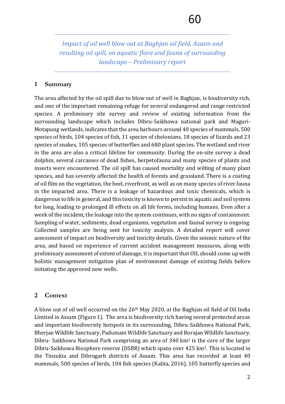*Impact of oil well blow out at Baghjan oil field, Assam and resulting oil spill, on aquatic flora and fauna of surrounding landscape – Preliminary report*

### **1 Summary**

The area affected by the oil spill due to blow out of well in Baghjan, is biodiversity rich, and one of the important remaining refuge for several endangered and range restricted species. A preliminary site survey and review of existing information from the surrounding landscape which includes Dibru-Saikhowa national park and Maguri-Motapung wetlands, indicates that the area harbours around 40 species of mammals, 500 species of birds, 104 species of fish, 11 species of chelonians, 18 species of lizards and 23 species of snakes, 105 species of butterflies and 680 plant species. The wetland and river in the area are also a critical lifeline for community. During the on-site survey a dead dolphin, several carcasses of dead fishes, herpetofauna and many species of plants and insects were encountered. The oil spill has caused mortality and wilting of many plant species, and has severely affected the health of forests and grassland. There is a coating of oil film on the vegetation, the beel, riverfront, as well as on many species of river fauna in the impacted area. There is a leakage of hazardous and toxic chemicals, which is dangerous to life in general, and this toxicity is known to persist in aquatic and soil system for long, leading to prolonged ill effects on all life forms, including humans. Even after a week of the incident, the leakage into the system continues, with no signs of containment. Sampling of water, sediments, dead organisms, vegetation and faunal survey is ongoing. Collected samples are being sent for toxicity analysis. A detailed report will cover assessment of impact on biodiversity and toxicity details. Given the seismic nature of the area, and based on experience of current accident management measures, along with preliminary assessment of extent of damage, it is important that OIL should come up with holistic management mitigation plan of environment damage of existing fields before initiating the approved new wells.

## **2 Context**

A blow out of oil well occurred on the 26th May 2020, at the Baghjan oil field of Oil India Limited in Assam (Figure 1). The area is biodiversity rich having several protected areas and important biodiversity hotspots in its surrounding, Dibru-Saikhowa National Park, Bherjan Wildlife Sanctuary, Padumani Wildlife Sanctuary and Borajan Wildlife Sanctuary. Dibru- Saikhowa National Park comprising an area of 340 km<sup>2</sup> is the core of the larger Dibru-Saikhowa Biosphere reserve (DSBR) which spans over 425 km2. This is located in the Tinsukia and Dibrugarh districts of Assam. This area has recorded at least 40 mammals, 500 species of birds, 104 fish species (Kalita, 2016), 105 butterfly species and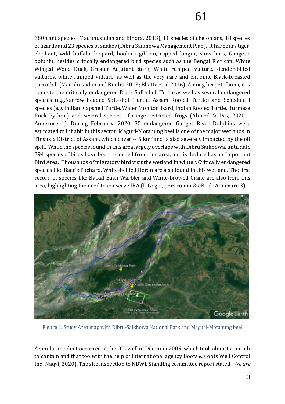680plant species (Maduhusudan and Bindra, 2013), 11 species of chelonians, 18 species of lizards and 23 species of snakes (Dibru Saikhowa Management Plan). It harbours tiger, elephant, wild buffalo, leopard, hoolock gibbon, capped langur, slow loris, Gangetic dolphin, besides critically endangered bird species such as the Bengal Florican, White Winged Wood Duck, Greater Adjutant stork, White rumped vulture, slender-billed vultures, white rumped vulture, as well as the very rare and endemic Black-breasted parrotbill (Maduhusudan and Bindra 2013; Bhatta et al 2016). Among herpetofauna, it is home to the critically endangered Black Soft-shell Turtle as well as several endangered species (e.g.Narrow headed Soft-shell Turtle, Assam Roofed Turtle) and Schedule I species (e.g. Indian Flapshell Turtle, Water Monitor lizard, Indian Roofed Turtle, Burmese Rock Python) and several species of range-restricted frogs (Ahmed & Das, 2020 – Annexure 1). During February, 2020, 35 endangered Ganges River Dolphins were estimated to inhabit in this sector. Maguri-Motapung beel is one of the major wetlands in Tinsukia District of Assam, which cover  $\sim$  5 km<sup>2</sup> and is also severely impacted by the oil spill. While the species found in this area largely overlaps with Dibru Saikhowa, until date 294 species of birds have been recorded from this area, and is declared as an Important Bird Area. Thousands of migratory bird visit the wetland in winter. Critically endangered species like Baer's Pochard, White-bellied Heron are also found in this wetland. The first record of species like Baikal Bush Warbler and White-browed Crane are also from this area, highlighting the need to conserve IBA (D Gogoi, pers.comm & eBird -Annexure 3).



Figure 1: Study Area map with Dibru-Saikhowa National Park and Maguri-Motapung beel

A similar incident occurred at the OIL well in Dikom in 2005, which took almost a month to contain and that too with the help of international agency Boots & Coots Well Control Inc (Naqvi, 2020). The site inspection to NBWL Standing committee report stated "*We are*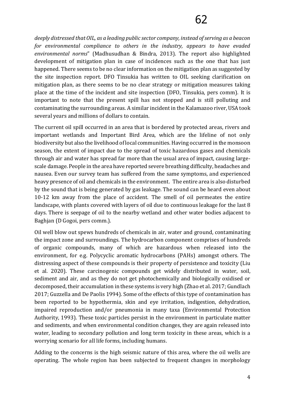*deeply distressed that OIL, as a leading public sector company, instead of serving as a beacon for environmental compliance to others in the industry, appears to have evaded environmental norms*" (Madhusudhan & Bindra, 2013). The report also highlighted development of mitigation plan in case of incidences such as the one that has just happened. There seems to be no clear information on the mitigation plan as suggested by the site inspection report. DFO Tinsukia has written to OIL seeking clarification on mitigation plan, as there seems to be no clear strategy or mitigation measures taking place at the time of the incident and site inspection (DFO, Tinsukia, pers comm). It is important to note that the present spill has not stopped and is still polluting and contaminating the surrounding areas. A similar incident in the Kalamazoo river, USA took several years and millions of dollars to contain.

The current oil spill occurred in an area that is bordered by protected areas, rivers and important wetlands and Important Bird Area, which are the lifeline of not only biodiversity but also the livelihood of local communities. Having occurred in the monsoon season, the extent of impact due to the spread of toxic hazardous gases and chemicals through air and water has spread far more than the usual area of impact, causing largescale damage. People in the area have reported severe breathing difficulty, headaches and nausea. Even our survey team has suffered from the same symptoms, and experienced heavy presence of oil and chemicals in the environment. The entire area is also disturbed by the sound that is being generated by gas leakage. The sound can be heard even about 10-12 km away from the place of accident. The smell of oil permeates the entire landscape, with plants covered with layers of oil due to continuous leakage for the last 8 days. There is seepage of oil to the nearby wetland and other water bodies adjacent to Baghjan (D Gogoi, pers comm.).

Oil well blow out spews hundreds of chemicals in air, water and ground, contaminating the impact zone and surroundings. The hydrocarbon component comprises of hundreds of organic compounds, many of which are hazardous when released into the environment, for e.g. Polycyclic aromatic hydrocarbons (PAHs) amongst others. The distressing aspect of these compounds is their property of persistence and toxicity (Liu et al. 2020). These carcinogenic compounds get widely distributed in water, soil, sediment and air, and as they do not get photochemically and biologically oxidised or decomposed, their accumulation in these systems is very high (Zhao et al. 2017; Gundlach 2017; Guzzella and De Paolis 1994). Some of the effects of this type of contamination has been reported to be hypothermia, skin and eye irritation, indigestion, dehydration, impaired reproduction and/or pneumonia in many taxa (Environmental Protection Authority, 1993). These toxic particles persist in the environment in particulate matter and sediments, and when environmental condition changes, they are again released into water, leading to secondary pollution and long term toxicity in these areas, which is a worrying scenario for all life forms, including humans.

Adding to the concerns is the high seismic nature of this area, where the oil wells are operating. The whole region has been subjected to frequent changes in morphology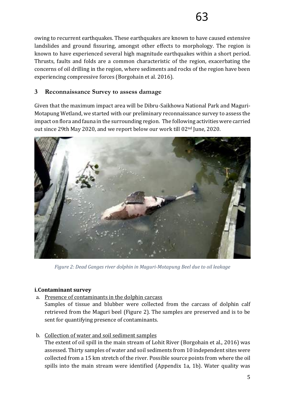owing to recurrent earthquakes. These earthquakes are known to have caused extensive landslides and ground fissuring, amongst other effects to morphology. The region is known to have experienced several high magnitude earthquakes within a short period. Thrusts, faults and folds are a common characteristic of the region, exacerbating the concerns of oil drilling in the region, where sediments and rocks of the region have been experiencing compressive forces (Borgohain et al. 2016).

# **3 Reconnaissance Survey to assess damage**

Given that the maximum impact area will be Dibru-Saikhowa National Park and Maguri-Motapung Wetland, we started with our preliminary reconnaissance survey to assess the impact on flora and fauna in the surrounding region. The following activities were carried out since 29th May 2020, and we report below our work till 02nd June, 2020.



*Figure 2: Dead Ganges river dolphin in Maguri-Motapung Beel due to oil leakage*

## **i.Contaminant survey**

a. Presence of contaminants in the dolphin carcass

Samples of tissue and blubber were collected from the carcass of dolphin calf retrieved from the Maguri beel (Figure 2). The samples are preserved and is to be sent for quantifying presence of contaminants.

b. Collection of water and soil sediment samples

The extent of oil spill in the main stream of Lohit River (Borgohain et al., 2016) was assessed. Thirty samples of water and soil sediments from 10 independent sites were collected from a 15 km stretch of the river. Possible source points from where the oil spills into the main stream were identified (Appendix 1a, 1b). Water quality was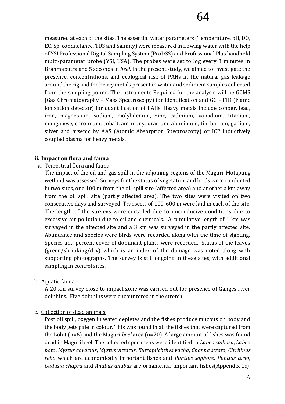measured at each of the sites. The essential water parameters (Temperature, pH, DO, EC, Sp. conductance, TDS and Salinity) were measured in flowing water with the help of YSI Professional Digital Sampling System (ProDSS) and Professional Plus handheld multi-parameter probe (YSI, USA). The probes were set to log every 3 minutes in Brahmaputra and 5 seconds in *beel.* In the present study, we aimed to investigate the presence, concentrations, and ecological risk of PAHs in the natural gas leakage around the rig and the heavy metals present in water and sediment samples collected from the sampling points. The instruments Required for the analysis will be GCMS (Gas Chromatography – Mass Spectroscopy) for identification and GC – FID (Flame ionization detector) for quantification of PAHs. Heavy metals include copper, lead, iron, magnesium, sodium, molybdenum, zinc, cadmium, vanadium, titanium, manganese, chromium, cobalt, antimony, uranium, aluminium, tin, barium, gallium, silver and arsenic by AAS (Atomic Absorption Spectroscopy) or ICP inductively coupled plasma for heavy metals.

#### **ii. Impact on flora and fauna**

#### a. Terrestrial flora and fauna

The impact of the oil and gas spill in the adjoining regions of the Maguri-Motapung wetland was assessed. Surveys for the status of vegetation and birds were conducted in two sites, one 100 m from the oil spill site (affected area) and another a km away from the oil spill site (partly affected area). The two sites were visited on two consecutive days and surveyed. Transects of 100-600 m were laid in each of the site. The length of the surveys were curtailed due to unconducive conditions due to excessive air pollution due to oil and chemicals. A cumulative length of 1 km was surveyed in the affected site and a 3 km was surveyed in the partly affected site. Abundance and species were birds were recorded along with the time of sighting. Species and percent cover of dominant plants were recorded. Status of the leaves (green/shrinking/dry) which is an index of the damage was noted along with supporting photographs. The survey is still ongoing in these sites, with additional sampling in control sites.

#### b. Aquatic fauna

A 20 km survey close to impact zone was carried out for presence of Ganges river dolphins. Five dolphins were encountered in the stretch.

#### c. Collection of dead animals

Post oil spill, oxygen in water depletes and the fishes produce mucous on body and the body gets pale in colour. This was found in all the fishes that were captured from the Lohit (n=6) and the Maguri *beel* area (n=20). A large amount of fishes was found dead in Maguri beel. The collected specimens were identified to *Labeo calbasu*, *Labeo bata*, *Mystus cavacius*, *Mystus vittatus*, *Eutropiichthys vacha*, *Channa strata*, *Cirrhinus reba* which are economically important fishes and *Puntius sophore*, *Puntius terio*, *Gudusia chapra* and *Anabus anabus* are ornamental important fishes(Appendix 1c).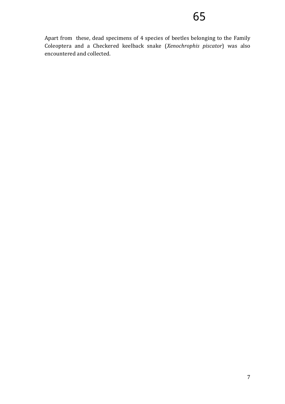Apart from these, dead specimens of 4 species of beetles belonging to the Family Coleoptera and a Checkered keelback snake (*Xenochrophis piscator*) was also encountered and collected.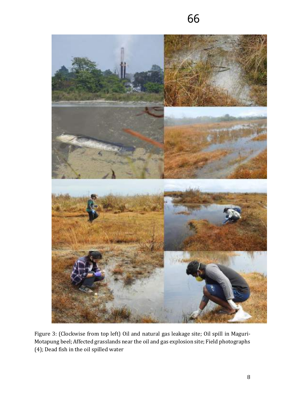

Figure 3: (Clockwise from top left) Oil and natural gas leakage site; Oil spill in Maguri-Motapung beel; Affected grasslands near the oil and gas explosion site; Field photographs (4); Dead fish in the oil spilled water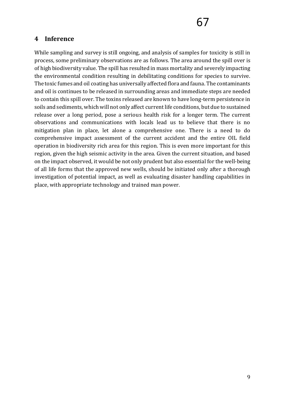# **4 Inference**

While sampling and survey is still ongoing, and analysis of samples for toxicity is still in process, some preliminary observations are as follows. The area around the spill over is of high biodiversity value. The spill has resulted in mass mortality and severely impacting the environmental condition resulting in debilitating conditions for species to survive. The toxic fumes and oil coating has universally affected flora and fauna. The contaminants and oil is continues to be released in surrounding areas and immediate steps are needed to contain this spill over. The toxins released are known to have long-term persistence in soils and sediments, which will not only affect current life conditions, but due to sustained release over a long period, pose a serious health risk for a longer term. The current observations and communications with locals lead us to believe that there is no mitigation plan in place, let alone a comprehensive one. There is a need to do comprehensive impact assessment of the current accident and the entire OIL field operation in biodiversity rich area for this region. This is even more important for this region, given the high seismic activity in the area. Given the current situation, and based on the impact observed, it would be not only prudent but also essential for the well-being of all life forms that the approved new wells, should be initiated only after a thorough investigation of potential impact, as well as evaluating disaster handling capabilities in place, with appropriate technology and trained man power.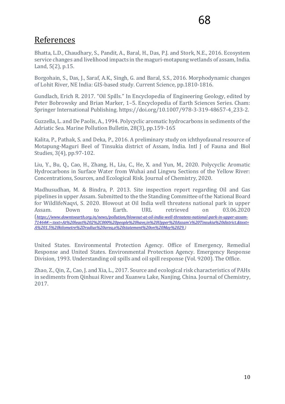# References

Bhatta, L.D., Chaudhary, S., Pandit, A., Baral, H., Das, P.J. and Stork, N.E., 2016. Ecosystem service changes and livelihood impacts in the maguri-motapung wetlands of assam, India. Land, 5(2), p.15.

Borgohain, S., Das, J., Saraf, A.K., Singh, G. and Baral, S.S., 2016. Morphodynamic changes of Lohit River, NE India: GIS-based study. Current Science, pp.1810-1816.

Gundlach, Erich R. 2017. "Oil Spills." In Encyclopedia of Engineering Geology, edited by Peter Bobrowsky and Brian Marker, 1–5. Encyclopedia of Earth Sciences Series. Cham: Springer International Publishing. https://doi.org/10.1007/978-3-319-48657-4\_233-2.

Guzzella, L. and De Paolis, A., 1994. Polycyclic aromatic hydrocarbons in sediments of the Adriatic Sea. Marine Pollution Bulletin, 28(3), pp.159-165

Kalita, P., Pathak, S. and Deka, P., 2016. A preliminary study on ichthyofaunal resource of Motapung-Maguri Beel of Tinsukia district of Assam, India. Intl J of Fauna and Biol Studies, 3(4), pp.97-102.

Liu, Y., Bu, Q., Cao, H., Zhang, H., Liu, C., He, X. and Yun, M., 2020. Polycyclic Aromatic Hydrocarbons in Surface Water from Wuhai and Lingwu Sections of the Yellow River: Concentrations, Sources, and Ecological Risk. Journal of Chemistry, 2020.

Madhusudhan, M. & Bindra, P. 2013. Site inspection report regarding Oil and Gas pipelines in upper Assam. Submitted to the the Standing Committee of the National Board for WildlifeNaqvi, S. 2020. Blowout at Oil India well threatens national park in upper Assam. Down to Earth. URL retrieved on 03.06.2020 (*https://www.downtoearth.org.in/news/pollution/blowout-at-oil-india-well-threatens-national-park-in-upper-assam-71464#:~:text=At%20least%202%2C000%20people%20have,in%20Upper%20Assam's%20Tinsukia%20district.&text= A%201.5%20kilometre%2Dradius%20area,a%20statement%20on%20May%2029.)*

United States. Environmental Protection Agency. Office of Emergency, Remedial Response and United States. Environmental Protection Agency. Emergency Response Division, 1993. Understanding oil spills and oil spill response (Vol. 9200). The Office.

Zhao, Z., Qin, Z., Cao, J. and Xia, L., 2017. Source and ecological risk characteristics of PAHs in sediments from Qinhuai River and Xuanwu Lake, Nanjing, China. Journal of Chemistry, 2017.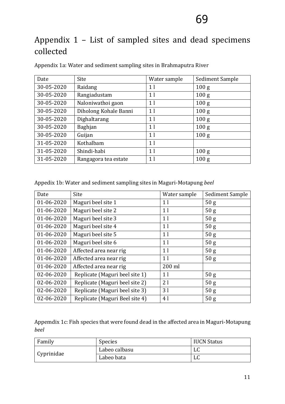# Appendix 1 – List of sampled sites and dead specimens collected

| Date       | Site                  | Water sample   | Sediment Sample  |
|------------|-----------------------|----------------|------------------|
| 30-05-2020 | Raidang               | 1 <sub>l</sub> | 100 <sub>g</sub> |
| 30-05-2020 | Rangiadustam          | 1 <sup>1</sup> | 100 <sub>g</sub> |
| 30-05-2020 | Naloniwathoi gaon     | 1 <sub>l</sub> | 100 <sub>g</sub> |
| 30-05-2020 | Diholong Kohale Banni | 1 <sub>l</sub> | 100 <sub>g</sub> |
| 30-05-2020 | Dighaltarang          | 1 <sup>1</sup> | 100 <sub>g</sub> |
| 30-05-2020 | <b>Baghjan</b>        | 1 <sup>1</sup> | 100 <sub>g</sub> |
| 30-05-2020 | Guijan                | 1 <sub>l</sub> | 100 <sub>g</sub> |
| 31-05-2020 | Kothalbam             | 1 <sub>l</sub> |                  |
| 31-05-2020 | Shindi-habi           | 1 <sup>1</sup> | 100 <sub>g</sub> |
| 31-05-2020 | Rangagora tea estate  | 1 <sup>1</sup> | 100 <sub>g</sub> |

Appendix 1a: Water and sediment sampling sites in Brahmaputra River

Appedix 1b: Water and sediment sampling sites in Maguri-Motapung *beel*

| Date       | Site                           | Water sample   | Sediment Sample |
|------------|--------------------------------|----------------|-----------------|
| 01-06-2020 | Maguri beel site 1             | 1 <sub>l</sub> | 50 <sub>g</sub> |
| 01-06-2020 | Maguri beel site 2             | 1 <sub>l</sub> | 50 <sub>g</sub> |
| 01-06-2020 | Maguri beel site 3             | 1 <sub>l</sub> | 50 <sub>g</sub> |
| 01-06-2020 | Maguri beel site 4             | 1 <sub>l</sub> | 50 g            |
| 01-06-2020 | Maguri beel site 5             | 1 <sub>l</sub> | 50 <sub>g</sub> |
| 01-06-2020 | Maguri beel site 6             | 1 <sub>l</sub> | 50 <sub>g</sub> |
| 01-06-2020 | Affected area near rig         | 1 <sub>l</sub> | 50 <sub>g</sub> |
| 01-06-2020 | Affected area near rig         | 1 <sub>l</sub> | 50 <sub>g</sub> |
| 01-06-2020 | Affected area near rig         | 200 ml         |                 |
| 02-06-2020 | Replicate (Maguri beel site 1) | 1 <sub>l</sub> | 50 g            |
| 02-06-2020 | Replicate (Maguri beel site 2) | 21             | 50 g            |
| 02-06-2020 | Replicate (Maguri beel site 3) | 31             | 50 <sub>g</sub> |
| 02-06-2020 | Replicate (Maguri Beel site 4) | 4 l            | 50 <sub>g</sub> |

Appemdix 1c: Fish species that were found dead in the affected area in Maguri-Motapung *beel*

| Family     | <b>Species</b> | <b>IUCN Status</b> |
|------------|----------------|--------------------|
| Cyprinidae | Labeo calbasu  | LC                 |
|            | Labeo bata     | LC                 |